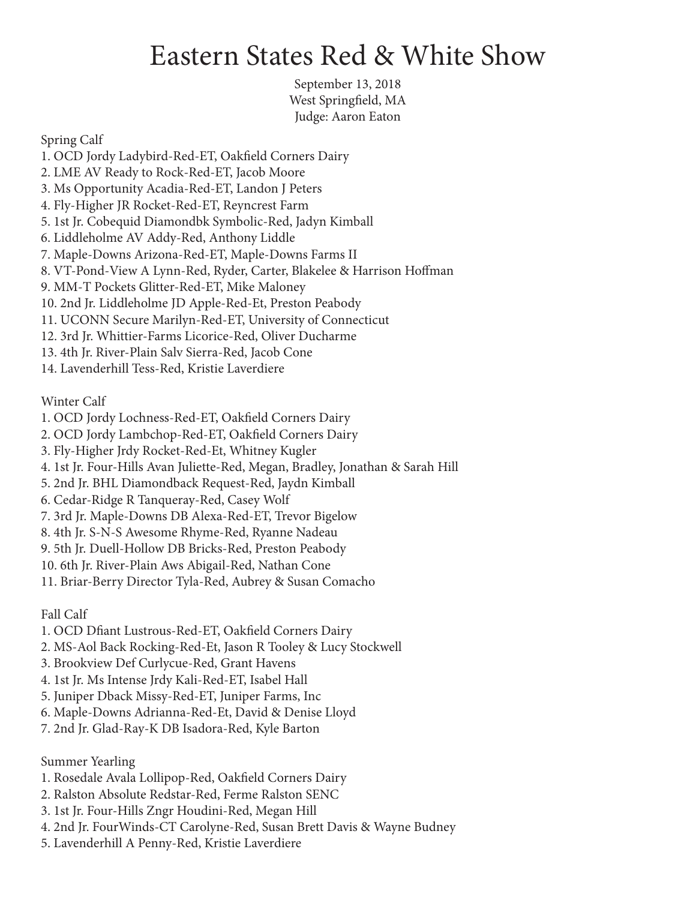## Eastern States Red & White Show

September 13, 2018 West Springfield, MA Judge: Aaron Eaton

Spring Calf

1. OCD Jordy Ladybird-Red-ET, Oakfield Corners Dairy 2. LME AV Ready to Rock-Red-ET, Jacob Moore 3. Ms Opportunity Acadia-Red-ET, Landon J Peters 4. Fly-Higher JR Rocket-Red-ET, Reyncrest Farm 5. 1st Jr. Cobequid Diamondbk Symbolic-Red, Jadyn Kimball 6. Liddleholme AV Addy-Red, Anthony Liddle 7. Maple-Downs Arizona-Red-ET, Maple-Downs Farms II 8. VT-Pond-View A Lynn-Red, Ryder, Carter, Blakelee & Harrison Hoffman 9. MM-T Pockets Glitter-Red-ET, Mike Maloney 10. 2nd Jr. Liddleholme JD Apple-Red-Et, Preston Peabody 11. UCONN Secure Marilyn-Red-ET, University of Connecticut 12. 3rd Jr. Whittier-Farms Licorice-Red, Oliver Ducharme 13. 4th Jr. River-Plain Salv Sierra-Red, Jacob Cone

14. Lavenderhill Tess-Red, Kristie Laverdiere

Winter Calf

- 1. OCD Jordy Lochness-Red-ET, Oakfield Corners Dairy
- 2. OCD Jordy Lambchop-Red-ET, Oakfield Corners Dairy
- 3. Fly-Higher Jrdy Rocket-Red-Et, Whitney Kugler
- 4. 1st Jr. Four-Hills Avan Juliette-Red, Megan, Bradley, Jonathan & Sarah Hill
- 5. 2nd Jr. BHL Diamondback Request-Red, Jaydn Kimball
- 6. Cedar-Ridge R Tanqueray-Red, Casey Wolf
- 7. 3rd Jr. Maple-Downs DB Alexa-Red-ET, Trevor Bigelow
- 8. 4th Jr. S-N-S Awesome Rhyme-Red, Ryanne Nadeau
- 9. 5th Jr. Duell-Hollow DB Bricks-Red, Preston Peabody
- 10. 6th Jr. River-Plain Aws Abigail-Red, Nathan Cone
- 11. Briar-Berry Director Tyla-Red, Aubrey & Susan Comacho

Fall Calf

- 1. OCD Dfiant Lustrous-Red-ET, Oakfield Corners Dairy
- 2. MS-Aol Back Rocking-Red-Et, Jason R Tooley & Lucy Stockwell
- 3. Brookview Def Curlycue-Red, Grant Havens
- 4. 1st Jr. Ms Intense Jrdy Kali-Red-ET, Isabel Hall
- 5. Juniper Dback Missy-Red-ET, Juniper Farms, Inc
- 6. Maple-Downs Adrianna-Red-Et, David & Denise Lloyd
- 7. 2nd Jr. Glad-Ray-K DB Isadora-Red, Kyle Barton

Summer Yearling

- 1. Rosedale Avala Lollipop-Red, Oakfield Corners Dairy
- 2. Ralston Absolute Redstar-Red, Ferme Ralston SENC
- 3. 1st Jr. Four-Hills Zngr Houdini-Red, Megan Hill
- 4. 2nd Jr. FourWinds-CT Carolyne-Red, Susan Brett Davis & Wayne Budney
- 5. Lavenderhill A Penny-Red, Kristie Laverdiere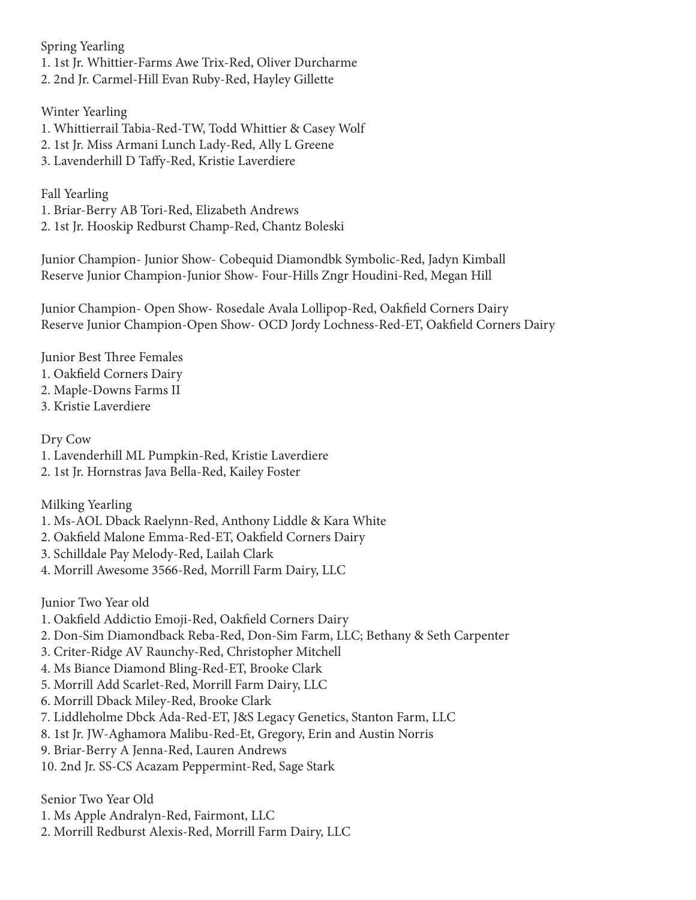Spring Yearling 1. 1st Jr. Whittier-Farms Awe Trix-Red, Oliver Durcharme 2. 2nd Jr. Carmel-Hill Evan Ruby-Red, Hayley Gillette

Winter Yearling 1. Whittierrail Tabia-Red-TW, Todd Whittier & Casey Wolf 2. 1st Jr. Miss Armani Lunch Lady-Red, Ally L Greene

3. Lavenderhill D Taffy-Red, Kristie Laverdiere

Fall Yearling

1. Briar-Berry AB Tori-Red, Elizabeth Andrews 2. 1st Jr. Hooskip Redburst Champ-Red, Chantz Boleski

Junior Champion- Junior Show- Cobequid Diamondbk Symbolic-Red, Jadyn Kimball Reserve Junior Champion-Junior Show- Four-Hills Zngr Houdini-Red, Megan Hill

Junior Champion- Open Show- Rosedale Avala Lollipop-Red, Oakfield Corners Dairy Reserve Junior Champion-Open Show- OCD Jordy Lochness-Red-ET, Oakfield Corners Dairy

Junior Best Three Females

- 1. Oakfield Corners Dairy
- 2. Maple-Downs Farms II
- 3. Kristie Laverdiere

Dry Cow

- 1. Lavenderhill ML Pumpkin-Red, Kristie Laverdiere
- 2. 1st Jr. Hornstras Java Bella-Red, Kailey Foster

Milking Yearling

- 1. Ms-AOL Dback Raelynn-Red, Anthony Liddle & Kara White
- 2. Oakfield Malone Emma-Red-ET, Oakfield Corners Dairy
- 3. Schilldale Pay Melody-Red, Lailah Clark
- 4. Morrill Awesome 3566-Red, Morrill Farm Dairy, LLC

Junior Two Year old

- 1. Oakfield Addictio Emoji-Red, Oakfield Corners Dairy
- 2. Don-Sim Diamondback Reba-Red, Don-Sim Farm, LLC; Bethany & Seth Carpenter
- 3. Criter-Ridge AV Raunchy-Red, Christopher Mitchell
- 4. Ms Biance Diamond Bling-Red-ET, Brooke Clark
- 5. Morrill Add Scarlet-Red, Morrill Farm Dairy, LLC
- 6. Morrill Dback Miley-Red, Brooke Clark
- 7. Liddleholme Dbck Ada-Red-ET, J&S Legacy Genetics, Stanton Farm, LLC
- 8. 1st Jr. JW-Aghamora Malibu-Red-Et, Gregory, Erin and Austin Norris
- 9. Briar-Berry A Jenna-Red, Lauren Andrews
- 10. 2nd Jr. SS-CS Acazam Peppermint-Red, Sage Stark

Senior Two Year Old

- 1. Ms Apple Andralyn-Red, Fairmont, LLC
- 2. Morrill Redburst Alexis-Red, Morrill Farm Dairy, LLC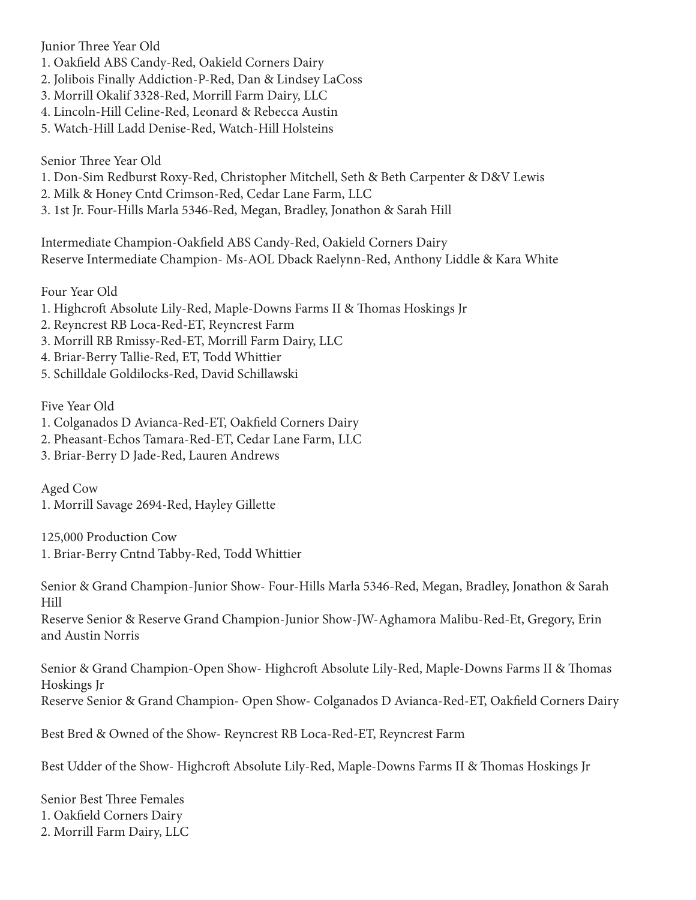Junior Three Year Old

- 1. Oakfield ABS Candy-Red, Oakield Corners Dairy
- 2. Jolibois Finally Addiction-P-Red, Dan & Lindsey LaCoss
- 3. Morrill Okalif 3328-Red, Morrill Farm Dairy, LLC
- 4. Lincoln-Hill Celine-Red, Leonard & Rebecca Austin
- 5. Watch-Hill Ladd Denise-Red, Watch-Hill Holsteins

Senior Three Year Old

- 1. Don-Sim Redburst Roxy-Red, Christopher Mitchell, Seth & Beth Carpenter & D&V Lewis
- 2. Milk & Honey Cntd Crimson-Red, Cedar Lane Farm, LLC
- 3. 1st Jr. Four-Hills Marla 5346-Red, Megan, Bradley, Jonathon & Sarah Hill

Intermediate Champion-Oakfield ABS Candy-Red, Oakield Corners Dairy Reserve Intermediate Champion- Ms-AOL Dback Raelynn-Red, Anthony Liddle & Kara White

Four Year Old

- 1. Highcroft Absolute Lily-Red, Maple-Downs Farms II & Thomas Hoskings Jr
- 2. Reyncrest RB Loca-Red-ET, Reyncrest Farm
- 3. Morrill RB Rmissy-Red-ET, Morrill Farm Dairy, LLC
- 4. Briar-Berry Tallie-Red, ET, Todd Whittier
- 5. Schilldale Goldilocks-Red, David Schillawski

Five Year Old

- 1. Colganados D Avianca-Red-ET, Oakfield Corners Dairy
- 2. Pheasant-Echos Tamara-Red-ET, Cedar Lane Farm, LLC
- 3. Briar-Berry D Jade-Red, Lauren Andrews

Aged Cow 1. Morrill Savage 2694-Red, Hayley Gillette

125,000 Production Cow 1. Briar-Berry Cntnd Tabby-Red, Todd Whittier

Senior & Grand Champion-Junior Show- Four-Hills Marla 5346-Red, Megan, Bradley, Jonathon & Sarah Hill

Reserve Senior & Reserve Grand Champion-Junior Show-JW-Aghamora Malibu-Red-Et, Gregory, Erin and Austin Norris

Senior & Grand Champion-Open Show- Highcroft Absolute Lily-Red, Maple-Downs Farms II & Thomas Hoskings Jr Reserve Senior & Grand Champion- Open Show- Colganados D Avianca-Red-ET, Oakfield Corners Dairy

Best Bred & Owned of the Show- Reyncrest RB Loca-Red-ET, Reyncrest Farm

Best Udder of the Show- Highcroft Absolute Lily-Red, Maple-Downs Farms II & Thomas Hoskings Jr

Senior Best Three Females 1. Oakfield Corners Dairy 2. Morrill Farm Dairy, LLC